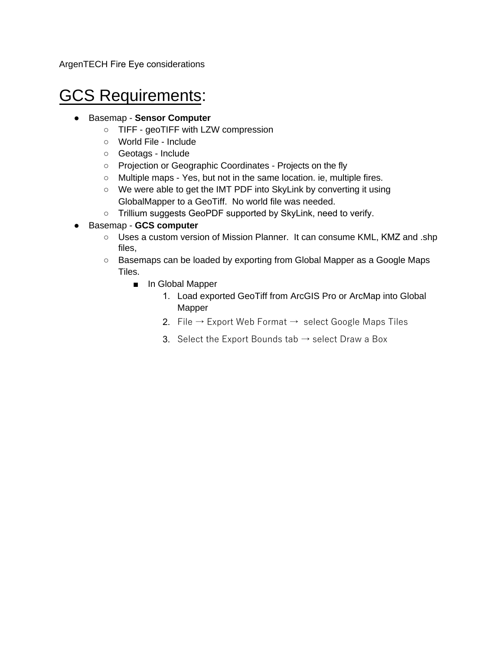ArgenTECH Fire Eye considerations

## GCS Requirements:

- Basemap **Sensor Computer**
	- TIFF geoTIFF with LZW compression
	- World File Include
	- Geotags Include
	- Projection or Geographic Coordinates Projects on the fly
	- Multiple maps Yes, but not in the same location. ie, multiple fires.
	- We were able to get the IMT PDF into SkyLink by converting it using GlobalMapper to a GeoTiff. No world file was needed.
	- Trillium suggests GeoPDF supported by SkyLink, need to verify.
- Basemap **GCS computer**
	- Uses a custom version of Mission Planner. It can consume KML, KMZ and .shp files,
	- Basemaps can be loaded by exporting from Global Mapper as a Google Maps Tiles.
		- In Global Mapper
			- 1. Load exported GeoTiff from ArcGIS Pro or ArcMap into Global Mapper
			- 2. File  $\rightarrow$  Export Web Format  $\rightarrow$  select Google Maps Tiles
			- 3. Select the Export Bounds tab  $\rightarrow$  select Draw a Box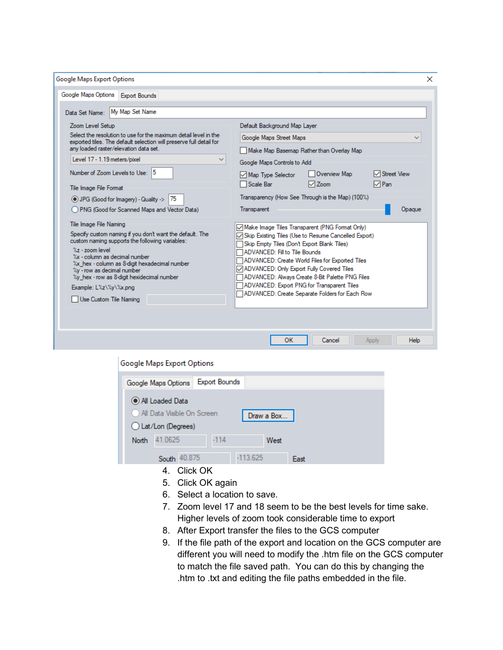| <b>Google Maps Export Options</b>                                                                                                                                                                                                                                                                                                                                              | ×                                                                                                                                                                                                                                                                                                                                                                                                                                           |  |
|--------------------------------------------------------------------------------------------------------------------------------------------------------------------------------------------------------------------------------------------------------------------------------------------------------------------------------------------------------------------------------|---------------------------------------------------------------------------------------------------------------------------------------------------------------------------------------------------------------------------------------------------------------------------------------------------------------------------------------------------------------------------------------------------------------------------------------------|--|
| Google Maps Options<br><b>Export Bounds</b>                                                                                                                                                                                                                                                                                                                                    |                                                                                                                                                                                                                                                                                                                                                                                                                                             |  |
| My Map Set Name<br>Data Set Name:                                                                                                                                                                                                                                                                                                                                              |                                                                                                                                                                                                                                                                                                                                                                                                                                             |  |
| Zoom Level Setup<br>Select the resolution to use for the maximum detail level in the<br>exported tiles. The default selection will preserve full detail for<br>any loaded raster/elevation data set.<br>Level 17 - 1.19 meters/pixel<br>$\checkmark$<br>Number of Zoom Levels to Use: 5<br>Tile Image File Format<br>◯ JPG (Good for Imagery) - Quality -><br>75               | Default Background Map Layer<br>Google Maps Street Maps<br>$\checkmark$<br>Make Map Basemap Rather than Overlay Map<br>Google Maps Controls to Add<br>Overview Map<br>√ Street View<br>Map Type Selector<br>$\nabla$ Pan<br>Scale Bar<br>$\sqrt{2}$ Zoom<br>Transparency (How See Through is the Map) (100%)                                                                                                                                |  |
| ◯ PNG (Good for Scanned Maps and Vector Data)                                                                                                                                                                                                                                                                                                                                  | Transparent<br>Opague                                                                                                                                                                                                                                                                                                                                                                                                                       |  |
| Tile Image File Naming<br>Specify custom naming if you don't want the default. The<br>custom naming supports the following variables:<br>$\%$ z - zoom level<br>%x - column as decimal number<br>%x hex - column as 8-digit hexadecimal number<br>%y - row as decimal number<br>%y hex - row as 8-digit hexidecimal number<br>Example: L%z\%y\%x.png<br>Use Custom Tile Naming | Make Image Tiles Transparent (PNG Format Only)<br>○ Skip Existing Tiles (Use to Resume Cancelled Export)<br>Skip Empty Tiles (Don't Export Blank Tiles)<br>ADVANCED: Fill to Tile Bounds<br>ADVANCED: Create World Files for Exported Tiles<br>ADVANCED: Only Export Fully Covered Tiles<br>ADVANCED: Always Create 8-Bit Palette PNG Files<br>ADVANCED: Export PNG for Transparent Tiles<br>ADVANCED: Create Separate Folders for Each Row |  |
|                                                                                                                                                                                                                                                                                                                                                                                | Help<br>OK<br>Cancel<br>Apply                                                                                                                                                                                                                                                                                                                                                                                                               |  |

|                   | Google Maps Export Options                          |                      |            |      |  |
|-------------------|-----------------------------------------------------|----------------------|------------|------|--|
|                   | Google Maps Options                                 | <b>Export Bounds</b> |            |      |  |
|                   | (C) All Loaded Data                                 |                      |            |      |  |
|                   | All Data Visible On Screen                          |                      | Draw a Box |      |  |
| Lat/Lon (Degrees) |                                                     |                      |            |      |  |
| North             | 41.0625                                             | $-114$               | West       |      |  |
|                   | South 40.875                                        |                      | $-113.625$ | East |  |
|                   | $\Lambda$ $\sim$ $\sim$ $\sim$ $\sim$ $\sim$ $\sim$ |                      |            |      |  |

- 4. Click OK
- 5. Click OK again
- 6. Select a location to save.
- 7. Zoom level 17 and 18 seem to be the best levels for time sake. Higher levels of zoom took considerable time to export
- 8. After Export transfer the files to the GCS computer
- 9. If the file path of the export and location on the GCS computer are different you will need to modify the .htm file on the GCS computer to match the file saved path. You can do this by changing the .htm to .txt and editing the file paths embedded in the file.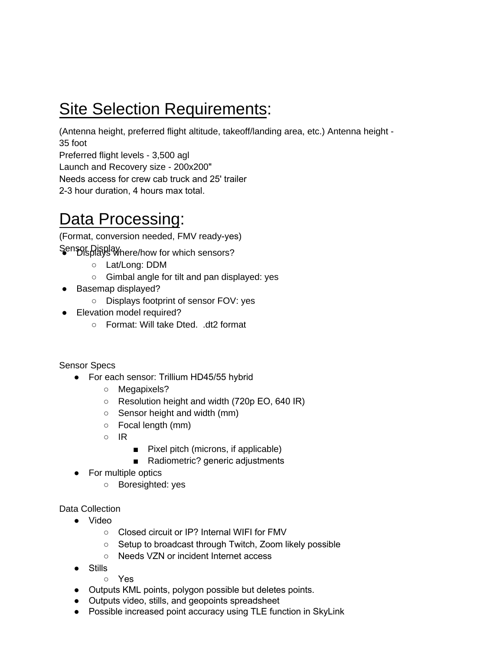## Site Selection Requirements:

(Antenna height, preferred flight altitude, takeoff/landing area, etc.) Antenna height - 35 foot

Preferred flight levels - 3,500 agl

Launch and Recovery size - 200x200"

Needs access for crew cab truck and 25' trailer

2-3 hour duration, 4 hours max total.

## Data Processing:

(Format, conversion needed, FMV ready-yes)

Sensor Display here/how for which sensors?

- Lat/Long: DDM
- Gimbal angle for tilt and pan displayed: yes
- Basemap displayed?
	- Displays footprint of sensor FOV: yes
- Elevation model required?
	- Format: Will take Dted. .dt2 format

Sensor Specs

- For each sensor: Trillium HD45/55 hybrid
	- Megapixels?
	- Resolution height and width (720p EO, 640 IR)
	- Sensor height and width (mm)
	- Focal length (mm)
	- IR
- Pixel pitch (microns, if applicable)
- Radiometric? generic adjustments
- For multiple optics
	- Boresighted: yes

Data Collection

- Video
	- Closed circuit or IP? Internal WIFI for FMV
	- Setup to broadcast through Twitch, Zoom likely possible
	- Needs VZN or incident Internet access
- Stills
	- Yes
- Outputs KML points, polygon possible but deletes points.
- Outputs video, stills, and geopoints spreadsheet
- Possible increased point accuracy using TLE function in SkyLink